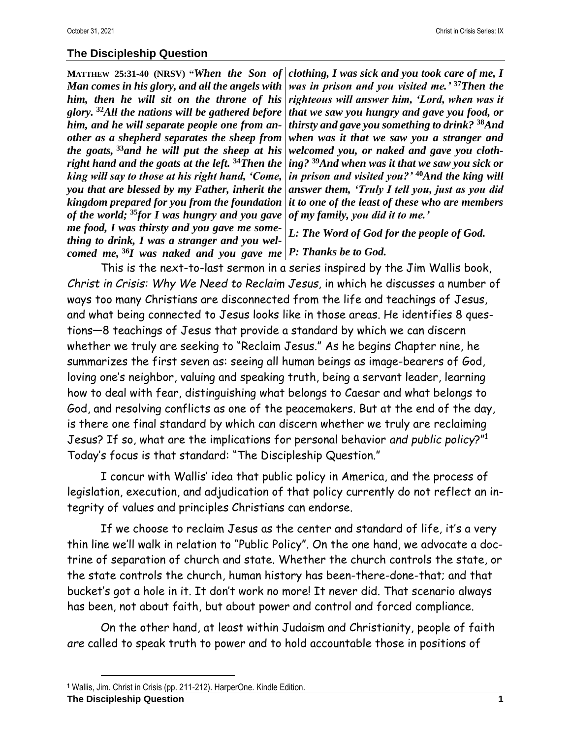## **The Discipleship Question**

**MATTHEW 25:31-40 (NRSV) "***When the Son of Man comes in his glory, and all the angels with him, then he will sit on the throne of his glory.* **<sup>32</sup>***All the nations will be gathered before him, and he will separate people one from another as a shepherd separates the sheep from the goats,* **<sup>33</sup>***and he will put the sheep at his right hand and the goats at the left.* **<sup>34</sup>***Then the king will say to those at his right hand, 'Come, you that are blessed by my Father, inherit the kingdom prepared for you from the foundation of the world;* **<sup>35</sup>***for I was hungry and you gave me food, I was thirsty and you gave me something to drink, I was a stranger and you welcomed me,* **<sup>36</sup>***I was naked and you gave me P: Thanks be to God.*

*clothing, I was sick and you took care of me, I was in prison and you visited me.'* **<sup>37</sup>***Then the righteous will answer him, 'Lord, when was it that we saw you hungry and gave you food, or thirsty and gave you something to drink?* **<sup>38</sup>***And when was it that we saw you a stranger and welcomed you, or naked and gave you clothing?* **<sup>39</sup>***And when was it that we saw you sick or in prison and visited you?'* **<sup>40</sup>***And the king will answer them, 'Truly I tell you, just as you did it to one of the least of these who are members of my family, you did it to me.'*

*L: The Word of God for the people of God.*

This is the next-to-last sermon in a series inspired by the Jim Wallis book, *Christ in Crisis: Why We Need to Reclaim Jesus*, in which he discusses a number of ways too many Christians are disconnected from the life and teachings of Jesus, and what being connected to Jesus looks like in those areas. He identifies 8 questions—8 teachings of Jesus that provide a standard by which we can discern whether we truly are seeking to "Reclaim Jesus." As he begins Chapter nine, he summarizes the first seven as: seeing all human beings as image-bearers of God, loving one's neighbor, valuing and speaking truth, being a servant leader, learning how to deal with fear, distinguishing what belongs to Caesar and what belongs to God, and resolving conflicts as one of the peacemakers. But at the end of the day, is there one final standard by which can discern whether we truly are reclaiming Jesus? If so, what are the implications for personal behavior *and public policy*?" 1 Today's focus is that standard: "The Discipleship Question."

I concur with Wallis' idea that public policy in America, and the process of legislation, execution, and adjudication of that policy currently do not reflect an integrity of values and principles Christians can endorse.

If we choose to reclaim Jesus as the center and standard of life, it's a very thin line we'll walk in relation to "Public Policy". On the one hand, we advocate a doctrine of separation of church and state. Whether the church controls the state, or the state controls the church, human history has been-there-done-that; and that bucket's got a hole in it. It don't work no more! It never did. That scenario always has been, not about faith, but about power and control and forced compliance.

On the other hand, at least within Judaism and Christianity, people of faith *are* called to speak truth to power and to hold accountable those in positions of

**<sup>1</sup>** Wallis, Jim. Christ in Crisis (pp. 211-212). HarperOne. Kindle Edition.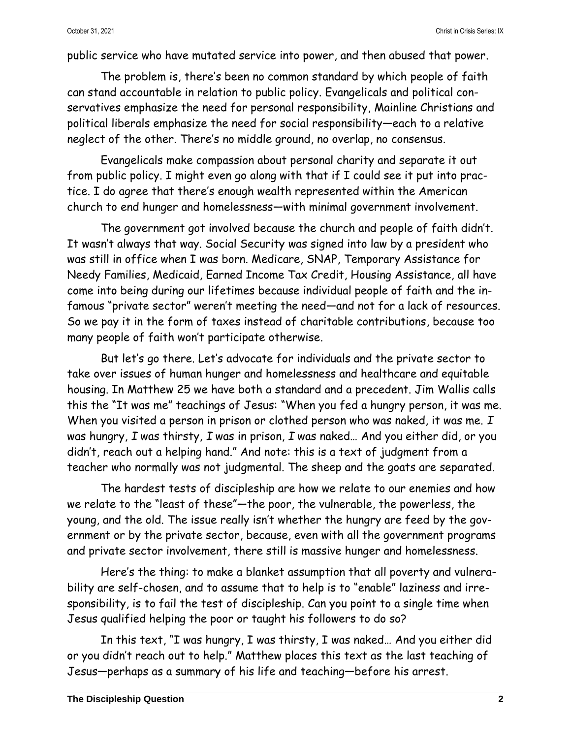public service who have mutated service into power, and then abused that power.

The problem is, there's been no common standard by which people of faith can stand accountable in relation to public policy. Evangelicals and political conservatives emphasize the need for personal responsibility, Mainline Christians and political liberals emphasize the need for social responsibility—each to a relative neglect of the other. There's no middle ground, no overlap, no consensus.

Evangelicals make compassion about personal charity and separate it out from public policy. I might even go along with that if I could see it put into practice. I do agree that there's enough wealth represented within the American church to end hunger and homelessness—with minimal government involvement.

The government got involved because the church and people of faith didn't. It wasn't always that way. Social Security was signed into law by a president who was still in office when I was born. Medicare, SNAP, Temporary Assistance for Needy Families, Medicaid, Earned Income Tax Credit, Housing Assistance, all have come into being during our lifetimes because individual people of faith and the infamous "private sector" weren't meeting the need—and not for a lack of resources. So we pay it in the form of taxes instead of charitable contributions, because too many people of faith won't participate otherwise.

But let's go there. Let's advocate for individuals and the private sector to take over issues of human hunger and homelessness and healthcare and equitable housing. In Matthew 25 we have both a standard and a precedent. Jim Wallis calls this the "It was me" teachings of Jesus: "When you fed a hungry person, it was me. When you visited a person in prison or clothed person who was naked, it was me. *I* was hungry, *I* was thirsty, *I* was in prison, *I* was naked… And you either did, or you didn't, reach out a helping hand." And note: this is a text of judgment from a teacher who normally was not judgmental. The sheep and the goats are separated.

The hardest tests of discipleship are how we relate to our enemies and how we relate to the "least of these"—the poor, the vulnerable, the powerless, the young, and the old. The issue really isn't whether the hungry are feed by the government or by the private sector, because, even with all the government programs and private sector involvement, there still is massive hunger and homelessness.

Here's the thing: to make a blanket assumption that all poverty and vulnerability are self-chosen, and to assume that to help is to "enable" laziness and irresponsibility, is to fail the test of discipleship. Can you point to a single time when Jesus qualified helping the poor or taught his followers to do so?

In this text, "I was hungry, I was thirsty, I was naked… And you either did or you didn't reach out to help." Matthew places this text as the last teaching of Jesus—perhaps as a summary of his life and teaching—before his arrest.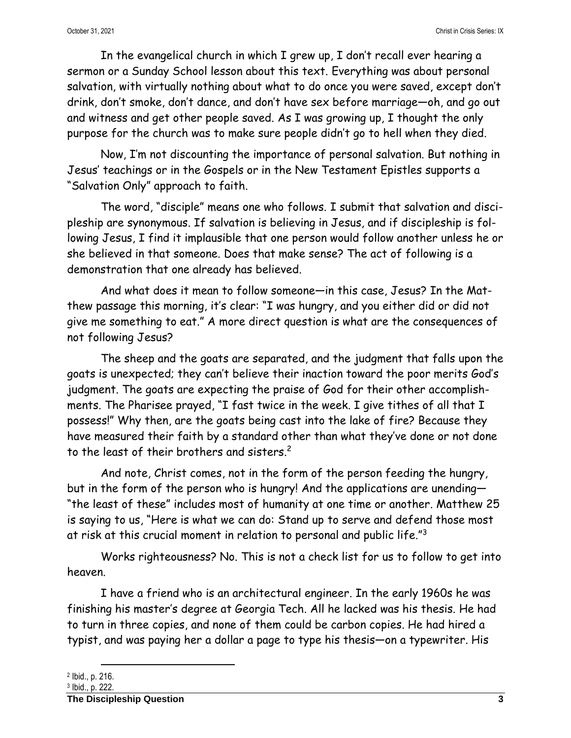In the evangelical church in which I grew up, I don't recall ever hearing a sermon or a Sunday School lesson about this text. Everything was about personal salvation, with virtually nothing about what to do once you were saved, except don't drink, don't smoke, don't dance, and don't have sex before marriage—oh, and go out and witness and get other people saved. As I was growing up, I thought the only purpose for the church was to make sure people didn't go to hell when they died.

Now, I'm not discounting the importance of personal salvation. But nothing in Jesus' teachings or in the Gospels or in the New Testament Epistles supports a "Salvation Only" approach to faith.

The word, "disciple" means one who follows. I submit that salvation and discipleship are synonymous. If salvation is believing in Jesus, and if discipleship is following Jesus, I find it implausible that one person would follow another unless he or she believed in that someone. Does that make sense? The act of following is a demonstration that one already has believed.

And what does it mean to follow someone—in this case, Jesus? In the Matthew passage this morning, it's clear: "I was hungry, and you either did or did not give me something to eat." A more direct question is what are the consequences of not following Jesus?

The sheep and the goats are separated, and the judgment that falls upon the goats is unexpected; they can't believe their inaction toward the poor merits God's judgment. The goats are expecting the praise of God for their other accomplishments. The Pharisee prayed, "I fast twice in the week. I give tithes of all that I possess!" Why then, are the goats being cast into the lake of fire? Because they have measured their faith by a standard other than what they've done or not done to the least of their brothers and sisters.<sup>2</sup>

And note, Christ comes, not in the form of the person feeding the hungry, but in the form of the person who is hungry! And the applications are unending— "the least of these" includes most of humanity at one time or another. Matthew 25 is saying to us, "Here is what we can do: Stand up to serve and defend those most at risk at this crucial moment in relation to personal and public life."<sup>3</sup>

Works righteousness? No. This is not a check list for us to follow to get into heaven.

I have a friend who is an architectural engineer. In the early 1960s he was finishing his master's degree at Georgia Tech. All he lacked was his thesis. He had to turn in three copies, and none of them could be carbon copies. He had hired a typist, and was paying her a dollar a page to type his thesis—on a typewriter. His

<sup>2</sup> Ibid., p. 216.

<sup>3</sup> Ibid., p. 222.